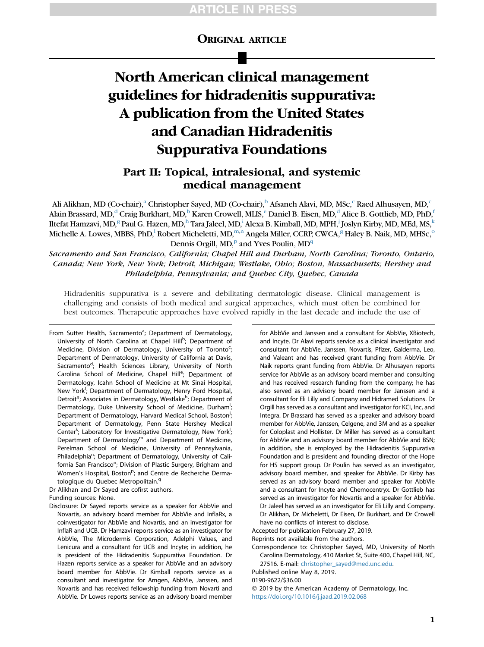# TICLE I

# ORIGINAL ARTICLE

# North American clinical management guidelines for hidradenitis suppurativa: A publication from the United States and Canadian Hidradenitis Suppurativa Foundations

# Part II: Topical, intralesional, and systemic medical management

Ali Alikhan, MD (Co-chair),<sup>a</sup> Christopher Sayed, MD (Co-chair),<sup>b</sup> Afsaneh Alavi, MD, MSc,<sup>c</sup> Raed Alhusayen, MD,<sup>c</sup> Alain Brassard, MD,<sup>d</sup> Craig Burkhart, MD,<sup>b</sup> Karen Crowell, MLIS,<sup>e</sup> Daniel B. Eisen, MD,<sup>d</sup> Alice B. Gottlieb, MD, PhD,<sup>f</sup> Iltefat Hamzavi, MD, $^{\rm g}$  Paul G. Hazen, MD, $^{\rm h}$  Tara Jaleel, MD, $^{\rm i}$  Alexa B. Kimball, MD, MPH, $^{\rm j}$  Joslyn Kirby, MD, MEd, MS, $^{\rm k}$ Michelle A. Lowes, MBBS, PhD,<sup>1</sup> Robert Micheletti, MD,<sup>m,n</sup> Angela Miller, CCRP, CWCA,<sup>g</sup> Haley B. Naik, MD, MHSc,<sup>o</sup> Dennis Orgill,  $MD$ <sup>p</sup> and Yves Poulin,  $MD<sup>q</sup>$ 

Sacramento and San Francisco, California; Chapel Hill and Durham, North Carolina; Toronto, Ontario, Canada; New York, New York; Detroit, Michigan; Westlake, Ohio; Boston, Massachusetts; Hershey and Philadelphia, Pennsylvania; and Quebec City, Quebec, Canada

Hidradenitis suppurativa is a severe and debilitating dermatologic disease. Clinical management is challenging and consists of both medical and surgical approaches, which must often be combined for best outcomes. Therapeutic approaches have evolved rapidly in the last decade and include the use of

From Sutter Health, Sacramento<sup>a</sup>; Department of Dermatology, University of North Carolina at Chapel Hill<sup>b</sup>; Department of Medicine, Division of Dermatology, University of Toronto<sup>c</sup>; Department of Dermatology, University of California at Davis, Sacramento<sup>d</sup>; Health Sciences Library, University of North Carolina School of Medicine, Chapel Hill<sup>e</sup>; Department of Dermatology, Icahn School of Medicine at Mt Sinai Hospital, New York<sup>f</sup>; Department of Dermatology, Henry Ford Hospital, Detroit<sup>g</sup>; Associates in Dermatology, Westlake<sup>h</sup>; Department of Dermatology, Duke University School of Medicine, Durham<sup>i</sup>; Department of Dermatology, Harvard Medical School, Boston<sup>j</sup>; Department of Dermatology, Penn State Hershey Medical Center<sup>k</sup>; Laboratory for Investigative Dermatology, New York<sup>!</sup>; Department of Dermatology $<sup>m</sup>$  and Department of Medicine,</sup> Perelman School of Medicine, University of Pennsylvania, Philadelphia<sup>n</sup>; Department of Dermatology, University of California San Francisco<sup>o</sup>; Division of Plastic Surgery, Brigham and Women's Hospital, Boston<sup>p</sup>; and Centre de Recherche Dermatologique du Quebec Metropolitain.<sup>q</sup>

Dr Alikhan and Dr Sayed are cofirst authors.

Funding sources: None.

Disclosure: Dr Sayed reports service as a speaker for AbbVie and Novartis, an advisory board member for AbbVie and InflaRx, a coinvestigator for AbbVie and Novartis, and an investigator for InflaR and UCB. Dr Hamzavi reports service as an investigator for AbbVie, The Microdermis Corporation, Adelphi Values, and Lenicura and a consultant for UCB and Incyte; in addition, he is president of the Hidradenitis Suppurativa Foundation. Dr Hazen reports service as a speaker for AbbVie and an advisory board member for AbbVie. Dr Kimball reports service as a consultant and investigator for Amgen, AbbVie, Janssen, and Novartis and has received fellowship funding from Novarti and AbbVie. Dr Lowes reports service as an advisory board member

for AbbVie and Janssen and a consultant for AbbVie, XBiotech, and Incyte. Dr Alavi reports service as a clinical investigator and consultant for AbbVie, Janssen, Novartis, Pfizer, Galderma, Leo, and Valeant and has received grant funding from AbbVie. Dr Naik reports grant funding from AbbVie. Dr Alhusayen reports service for AbbVie as an advisory board member and consulting and has received research funding from the company; he has also served as an advisory board member for Janssen and a consultant for Eli Lilly and Company and Hidramed Solutions. Dr Orgill has served as a consultant and investigator for KCI, Inc, and Integra. Dr Brassard has served as a speaker and advisory board member for AbbVie, Janssen, Celgene, and 3M and as a speaker for Coloplast and Hollister. Dr Miller has served as a consultant for AbbVie and an advisory board member for AbbVie and BSN; in addition, she is employed by the Hidradenitis Suppurativa Foundation and is president and founding director of the Hope for HS support group. Dr Poulin has served as an investigator, advisory board member, and speaker for AbbVie. Dr Kirby has served as an advisory board member and speaker for AbbVie and a consultant for Incyte and Chemocentryx. Dr Gottlieb has served as an investigator for Novartis and a speaker for AbbVie. Dr Jaleel has served as an investigator for Eli Lilly and Company. Dr Alikhan, Dr Micheletti, Dr Eisen, Dr Burkhart, and Dr Crowell have no conflicts of interest to disclose.

Accepted for publication February 27, 2019.

Reprints not available from the authors.

Correspondence to: Christopher Sayed, MD, University of North Carolina Dermatology, 410 Market St, Suite 400, Chapel Hill, NC, 27516. E-mail: [christopher\\_sayed@med.unc.edu](mailto:christopher_sayed@med.unc.edu).

Published online May 8, 2019.

0190-9622/\$36.00

 2019 by the American Academy of Dermatology, Inc. <https://doi.org/10.1016/j.jaad.2019.02.068>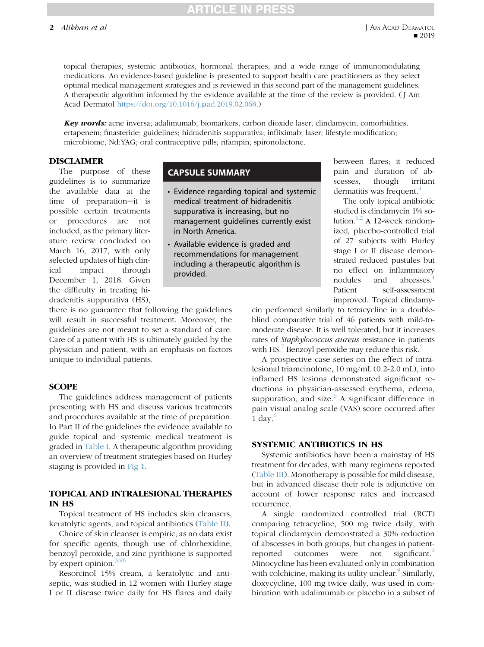# ICLE IN PRI

topical therapies, systemic antibiotics, hormonal therapies, and a wide range of immunomodulating medications. An evidence-based guideline is presented to support health care practitioners as they select optimal medical management strategies and is reviewed in this second part of the management guidelines. A therapeutic algorithm informed by the evidence available at the time of the review is provided. ( J Am Acad Dermatol [https://doi.org/10.1016/j.jaad.2019.02.068.](https://doi.org/10.1016/j.jaad.2019.02.068))

**Key words:** acne inversa; adalimumab; biomarkers; carbon dioxide laser; clindamycin; comorbidities; ertapenem; finasteride; guidelines; hidradenitis suppurativa; infliximab; laser; lifestyle modification; microbiome; Nd:YAG; oral contraceptive pills; rifampin; spironolactone.

#### DISCLAIMER

The purpose of these guidelines is to summarize the available data at the time of preparation-it is possible certain treatments or procedures are not included, as the primary literature review concluded on March 16, 2017, with only selected updates of high clinical impact through December 1, 2018. Given the difficulty in treating hidradenitis suppurativa (HS),

there is no guarantee that following the guidelines will result in successful treatment. Moreover, the guidelines are not meant to set a standard of care. Care of a patient with HS is ultimately guided by the physician and patient, with an emphasis on factors unique to individual patients.

#### **SCOPE**

The guidelines address management of patients presenting with HS and discuss various treatments and procedures available at the time of preparation. In Part II of the guidelines the evidence available to guide topical and systemic medical treatment is graded in [Table I](#page-3-0). A therapeutic algorithm providing an overview of treatment strategies based on Hurley staging is provided in [Fig 1.](#page-4-0)

### TOPICAL AND INTRALESIONAL THERAPIES IN HS

Topical treatment of HS includes skin cleansers, keratolytic agents, and topical antibiotics ([Table II\)](#page-4-0).

Choice of skin cleanser is empiric, as no data exist for specific agents, though use of chlorhexidine, benzoyl peroxide, and zinc pyrithione is supported by expert opinion. $3,96$ 

Resorcinol 15% cream, a keratolytic and antiseptic, was studied in 12 women with Hurley stage I or II disease twice daily for HS flares and daily

## CAPSULE SUMMARY

- Evidence regarding topical and systemic medical treatment of hidradenitis suppurativa is increasing, but no management guidelines currently exist in North America.
- Available evidence is graded and recommendations for management including a therapeutic algorithm is provided.

between flares; it reduced pain and duration of abscesses, though irritant dermatitis was frequent.<sup>[4](#page-8-0)</sup>

The only topical antibiotic studied is clindamycin 1% solution. $^{1,2}$  $^{1,2}$  $^{1,2}$  A 12-week randomized, placebo-controlled trial of 27 subjects with Hurley stage I or II disease demonstrated reduced pustules but no effect on inflammatory nodules and abcesses.<sup>1</sup> Patient self-assessment improved. Topical clindamy-

cin performed similarly to tetracycline in a doubleblind comparative trial of 46 patients with mild-tomoderate disease. It is well tolerated, but it increases rates of Staphylococcus aureus resistance in patients with HS.<sup>[7](#page-8-0)</sup> Benzoyl peroxide may reduce this risk.<sup>5</sup>

A prospective case series on the effect of intralesional triamcinolone, 10 mg/mL (0.2-2.0 mL), into inflamed HS lesions demonstrated significant reductions in physician-assessed erythema, edema, suppuration, and size. $6$  A significant difference in pain visual analog scale (VAS) score occurred after 1 day. $6$ 

#### SYSTEMIC ANTIBIOTICS IN HS

Systemic antibiotics have been a mainstay of HS treatment for decades, with many regimens reported [\(Table III](#page-4-0)). Monotherapy is possible for mild disease, but in advanced disease their role is adjunctive on account of lower response rates and increased recurrence.

A single randomized controlled trial (RCT) comparing tetracycline, 500 mg twice daily, with topical clindamycin demonstrated a 30% reduction of abscesses in both groups, but changes in patient-reported outcomes were not significant.<sup>[2](#page-8-0)</sup> Minocycline has been evaluated only in combination with colchicine, making its utility unclear.  $\frac{9}{5}$  $\frac{9}{5}$  $\frac{9}{5}$  Similarly, doxycycline, 100 mg twice daily, was used in combination with adalimumab or placebo in a subset of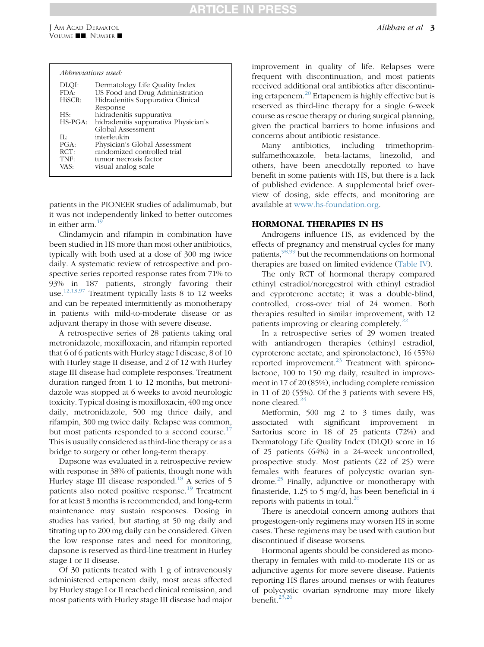| DLQI:      | Dermatology Life Quality Index       |
|------------|--------------------------------------|
| FDA:       | US Food and Drug Administration      |
| HiSCR:     | Hidradenitis Suppurativa Clinical    |
|            | Response                             |
| HS:        | hidradenitis suppurativa             |
| $HS-PGA$ : | hidradenitis suppurativa Physician's |
|            | Global Assessment                    |
| Πŀ         | interleukin                          |
| PGA:       | Physician's Global Assessment        |
| RCT:       | randomized controlled trial          |
| TNF:       | tumor necrosis factor                |
| VAS:       | visual analog scale                  |

patients in the PIONEER studies of adalimumab, but it was not independently linked to better outcomes in either arm. $4$ 

Clindamycin and rifampin in combination have been studied in HS more than most other antibiotics, typically with both used at a dose of 300 mg twice daily. A systematic review of retrospective and prospective series reported response rates from 71% to 93% in 187 patients, strongly favoring their use.<sup>[12,13,97](#page-8-0)</sup> Treatment typically lasts 8 to 12 weeks and can be repeated intermittently as monotherapy in patients with mild-to-moderate disease or as adjuvant therapy in those with severe disease.

A retrospective series of 28 patients taking oral metronidazole, moxifloxacin, and rifampin reported that 6 of 6 patients with Hurley stage I disease, 8 of 10 with Hurley stage II disease, and 2 of 12 with Hurley stage III disease had complete responses. Treatment duration ranged from 1 to 12 months, but metronidazole was stopped at 6 weeks to avoid neurologic toxicity. Typical dosing is moxifloxacin, 400 mg once daily, metronidazole, 500 mg thrice daily, and rifampin, 300 mg twice daily. Relapse was common, but most patients responded to a second course.<sup>[17](#page-8-0)</sup> This is usually considered as third-line therapy or as a bridge to surgery or other long-term therapy.

Dapsone was evaluated in a retrospective review with response in 38% of patients, though none with Hurley stage III disease responded.<sup>[18](#page-8-0)</sup> A series of 5 patients also noted positive response.[19](#page-8-0) Treatment for at least 3 months is recommended, and long-term maintenance may sustain responses. Dosing in studies has varied, but starting at 50 mg daily and titrating up to 200 mg daily can be considered. Given the low response rates and need for monitoring, dapsone is reserved as third-line treatment in Hurley stage I or II disease.

Of 30 patients treated with 1 g of intravenously administered ertapenem daily, most areas affected by Hurley stage I or II reached clinical remission, and most patients with Hurley stage III disease had major

improvement in quality of life. Relapses were frequent with discontinuation, and most patients received additional oral antibiotics after discontinuing ertapenem.[20](#page-8-0) Ertapenem is highly effective but is reserved as third-line therapy for a single 6-week course as rescue therapy or during surgical planning, given the practical barriers to home infusions and concerns about antibiotic resistance.

Many antibiotics, including trimethoprimsulfamethoxazole, beta-lactams, linezolid, and others, have been anecdotally reported to have benefit in some patients with HS, but there is a lack of published evidence. A supplemental brief overview of dosing, side effects, and monitoring are available at [www.hs-foundation.org.](http://www.hs-foundation.org)

#### HORMONAL THERAPIES IN HS

Androgens influence HS, as evidenced by the effects of pregnancy and menstrual cycles for many patients,  $98,99$  but the recommendations on hormonal therapies are based on limited evidence [\(Table IV\)](#page-5-0).

The only RCT of hormonal therapy compared ethinyl estradiol/noregestrol with ethinyl estradiol and cyproterone acetate; it was a double-blind, controlled, cross-over trial of 24 women. Both therapies resulted in similar improvement, with 12 patients improving or clearing completely.<sup>[22](#page-8-0)</sup>

In a retrospective series of 29 women treated with antiandrogen therapies (ethinyl estradiol, cyproterone acetate, and spironolactone), 16 (55%) reported improvement. $^{23}$  $^{23}$  $^{23}$  Treatment with spironolactone, 100 to 150 mg daily, resulted in improvement in 17 of 20 (85%), including complete remission in 11 of 20 (55%). Of the 3 patients with severe HS, none cleared.<sup>[24](#page-8-0)</sup>

Metformin, 500 mg 2 to 3 times daily, was associated with significant improvement in Sartorius score in 18 of 25 patients (72%) and Dermatology Life Quality Index (DLQI) score in 16 of 25 patients (64%) in a 24-week uncontrolled, prospective study. Most patients (22 of 25) were females with features of polycystic ovarian syn-drome.<sup>[25](#page-8-0)</sup> Finally, adjunctive or monotherapy with finasteride, 1.25 to 5 mg/d, has been beneficial in 4 reports with patients in total.<sup>26</sup>

There is anecdotal concern among authors that progestogen-only regimens may worsen HS in some cases. These regimens may be used with caution but discontinued if disease worsens.

Hormonal agents should be considered as monotherapy in females with mild-to-moderate HS or as adjunctive agents for more severe disease. Patients reporting HS flares around menses or with features of polycystic ovarian syndrome may more likely benefit. $23,26$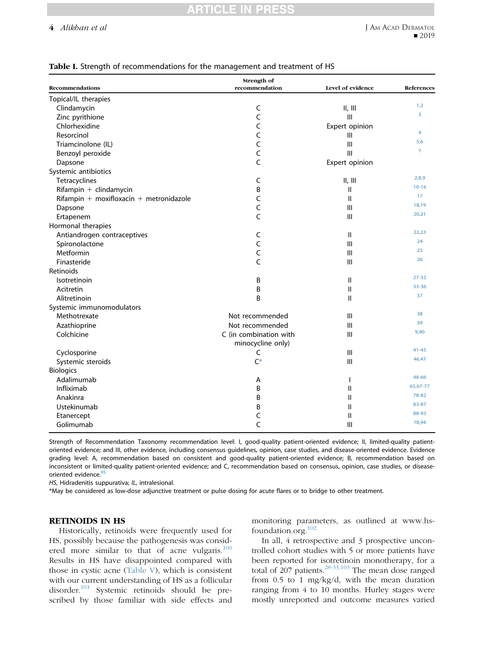#### <span id="page-3-0"></span>4 Alikhan et al

| <b>Recommendations</b><br>recommendation<br>Level of evidence<br>References<br>Topical/IL therapies<br>1,2<br>$\mathsf C$<br>Clindamycin<br>II, III<br>3<br>C<br>Zinc pyrithione<br>$\mathsf{III}$<br>Chlorhexidine<br>C<br>Expert opinion<br>4<br>C<br>Resorcinol<br>Ш<br>5,6<br>C<br>III<br>Triamcinolone (IL)<br>$\overline{7}$<br>C<br>III<br>Benzoyl peroxide<br>C<br>Expert opinion<br>Dapsone<br>Systemic antibiotics<br>2,8,9<br>Tetracyclines<br>II, III<br>C<br>$10 - 16$<br>Rifampin + clindamycin<br>B<br>$\sf II$<br>17<br>Rifampin + moxifloxacin + metronidazole<br>C<br>$\mathsf{II}$<br>18,19<br>C<br>III<br>Dapsone<br>20,21<br>C<br>III<br>Ertapenem<br>Hormonal therapies<br>22,23<br>$\mathbf{II}$<br>Antiandrogen contraceptives<br>C<br>24<br>C<br>III<br>Spironolactone<br>25<br>C<br>Metformin<br>III<br>26<br>C<br>Finasteride<br>$\mathbf{III}$<br>Retinoids<br>$27 - 32$<br>$\mathbf{II}$<br>Isotretinoin<br>B<br>33-36<br>Acitretin<br>B<br>$\mathbf{I}$<br>37<br>B<br>Alitretinoin<br>$\mathbf{II}$<br>Systemic immunomodulators<br>38<br>III<br>Methotrexate<br>Not recommended<br>39<br>III<br>Azathioprine<br>Not recommended<br>9,40<br>Colchicine<br>C (in combination with<br>$\mathbf{III}$<br>minocycline only)<br>$41 - 45$<br>Cyclosporine<br>III<br>C<br>46,47<br>$C^*$<br>Systemic steroids<br>Ш<br><b>Biologics</b><br>48-66<br>Adalimumab<br>A<br>$\mathbf{I}$<br>65,67-77<br>Infliximab<br>B<br>$\mathbf{H}$<br>78-82<br>B<br>$\mathsf{II}$<br>Anakinra<br>83-87<br>$\mathsf{II}$<br>Ustekinumab<br>B<br>88-93<br>$\mathbf{I}$<br>Etanercept<br>C<br>78,94 |           | Strength of |     |  |
|---------------------------------------------------------------------------------------------------------------------------------------------------------------------------------------------------------------------------------------------------------------------------------------------------------------------------------------------------------------------------------------------------------------------------------------------------------------------------------------------------------------------------------------------------------------------------------------------------------------------------------------------------------------------------------------------------------------------------------------------------------------------------------------------------------------------------------------------------------------------------------------------------------------------------------------------------------------------------------------------------------------------------------------------------------------------------------------------------------------------------------------------------------------------------------------------------------------------------------------------------------------------------------------------------------------------------------------------------------------------------------------------------------------------------------------------------------------------------------------------------------------------------------------------------------------------------------------------------------|-----------|-------------|-----|--|
|                                                                                                                                                                                                                                                                                                                                                                                                                                                                                                                                                                                                                                                                                                                                                                                                                                                                                                                                                                                                                                                                                                                                                                                                                                                                                                                                                                                                                                                                                                                                                                                                         |           |             |     |  |
|                                                                                                                                                                                                                                                                                                                                                                                                                                                                                                                                                                                                                                                                                                                                                                                                                                                                                                                                                                                                                                                                                                                                                                                                                                                                                                                                                                                                                                                                                                                                                                                                         |           |             |     |  |
|                                                                                                                                                                                                                                                                                                                                                                                                                                                                                                                                                                                                                                                                                                                                                                                                                                                                                                                                                                                                                                                                                                                                                                                                                                                                                                                                                                                                                                                                                                                                                                                                         |           |             |     |  |
|                                                                                                                                                                                                                                                                                                                                                                                                                                                                                                                                                                                                                                                                                                                                                                                                                                                                                                                                                                                                                                                                                                                                                                                                                                                                                                                                                                                                                                                                                                                                                                                                         |           |             |     |  |
|                                                                                                                                                                                                                                                                                                                                                                                                                                                                                                                                                                                                                                                                                                                                                                                                                                                                                                                                                                                                                                                                                                                                                                                                                                                                                                                                                                                                                                                                                                                                                                                                         |           |             |     |  |
|                                                                                                                                                                                                                                                                                                                                                                                                                                                                                                                                                                                                                                                                                                                                                                                                                                                                                                                                                                                                                                                                                                                                                                                                                                                                                                                                                                                                                                                                                                                                                                                                         |           |             |     |  |
|                                                                                                                                                                                                                                                                                                                                                                                                                                                                                                                                                                                                                                                                                                                                                                                                                                                                                                                                                                                                                                                                                                                                                                                                                                                                                                                                                                                                                                                                                                                                                                                                         |           |             |     |  |
|                                                                                                                                                                                                                                                                                                                                                                                                                                                                                                                                                                                                                                                                                                                                                                                                                                                                                                                                                                                                                                                                                                                                                                                                                                                                                                                                                                                                                                                                                                                                                                                                         |           |             |     |  |
|                                                                                                                                                                                                                                                                                                                                                                                                                                                                                                                                                                                                                                                                                                                                                                                                                                                                                                                                                                                                                                                                                                                                                                                                                                                                                                                                                                                                                                                                                                                                                                                                         |           |             |     |  |
|                                                                                                                                                                                                                                                                                                                                                                                                                                                                                                                                                                                                                                                                                                                                                                                                                                                                                                                                                                                                                                                                                                                                                                                                                                                                                                                                                                                                                                                                                                                                                                                                         |           |             |     |  |
|                                                                                                                                                                                                                                                                                                                                                                                                                                                                                                                                                                                                                                                                                                                                                                                                                                                                                                                                                                                                                                                                                                                                                                                                                                                                                                                                                                                                                                                                                                                                                                                                         |           |             |     |  |
|                                                                                                                                                                                                                                                                                                                                                                                                                                                                                                                                                                                                                                                                                                                                                                                                                                                                                                                                                                                                                                                                                                                                                                                                                                                                                                                                                                                                                                                                                                                                                                                                         |           |             |     |  |
|                                                                                                                                                                                                                                                                                                                                                                                                                                                                                                                                                                                                                                                                                                                                                                                                                                                                                                                                                                                                                                                                                                                                                                                                                                                                                                                                                                                                                                                                                                                                                                                                         |           |             |     |  |
|                                                                                                                                                                                                                                                                                                                                                                                                                                                                                                                                                                                                                                                                                                                                                                                                                                                                                                                                                                                                                                                                                                                                                                                                                                                                                                                                                                                                                                                                                                                                                                                                         |           |             |     |  |
|                                                                                                                                                                                                                                                                                                                                                                                                                                                                                                                                                                                                                                                                                                                                                                                                                                                                                                                                                                                                                                                                                                                                                                                                                                                                                                                                                                                                                                                                                                                                                                                                         |           |             |     |  |
|                                                                                                                                                                                                                                                                                                                                                                                                                                                                                                                                                                                                                                                                                                                                                                                                                                                                                                                                                                                                                                                                                                                                                                                                                                                                                                                                                                                                                                                                                                                                                                                                         |           |             |     |  |
|                                                                                                                                                                                                                                                                                                                                                                                                                                                                                                                                                                                                                                                                                                                                                                                                                                                                                                                                                                                                                                                                                                                                                                                                                                                                                                                                                                                                                                                                                                                                                                                                         |           |             |     |  |
|                                                                                                                                                                                                                                                                                                                                                                                                                                                                                                                                                                                                                                                                                                                                                                                                                                                                                                                                                                                                                                                                                                                                                                                                                                                                                                                                                                                                                                                                                                                                                                                                         |           |             |     |  |
|                                                                                                                                                                                                                                                                                                                                                                                                                                                                                                                                                                                                                                                                                                                                                                                                                                                                                                                                                                                                                                                                                                                                                                                                                                                                                                                                                                                                                                                                                                                                                                                                         |           |             |     |  |
|                                                                                                                                                                                                                                                                                                                                                                                                                                                                                                                                                                                                                                                                                                                                                                                                                                                                                                                                                                                                                                                                                                                                                                                                                                                                                                                                                                                                                                                                                                                                                                                                         |           |             |     |  |
|                                                                                                                                                                                                                                                                                                                                                                                                                                                                                                                                                                                                                                                                                                                                                                                                                                                                                                                                                                                                                                                                                                                                                                                                                                                                                                                                                                                                                                                                                                                                                                                                         |           |             |     |  |
|                                                                                                                                                                                                                                                                                                                                                                                                                                                                                                                                                                                                                                                                                                                                                                                                                                                                                                                                                                                                                                                                                                                                                                                                                                                                                                                                                                                                                                                                                                                                                                                                         |           |             |     |  |
|                                                                                                                                                                                                                                                                                                                                                                                                                                                                                                                                                                                                                                                                                                                                                                                                                                                                                                                                                                                                                                                                                                                                                                                                                                                                                                                                                                                                                                                                                                                                                                                                         |           |             |     |  |
|                                                                                                                                                                                                                                                                                                                                                                                                                                                                                                                                                                                                                                                                                                                                                                                                                                                                                                                                                                                                                                                                                                                                                                                                                                                                                                                                                                                                                                                                                                                                                                                                         |           |             |     |  |
|                                                                                                                                                                                                                                                                                                                                                                                                                                                                                                                                                                                                                                                                                                                                                                                                                                                                                                                                                                                                                                                                                                                                                                                                                                                                                                                                                                                                                                                                                                                                                                                                         |           |             |     |  |
|                                                                                                                                                                                                                                                                                                                                                                                                                                                                                                                                                                                                                                                                                                                                                                                                                                                                                                                                                                                                                                                                                                                                                                                                                                                                                                                                                                                                                                                                                                                                                                                                         |           |             |     |  |
|                                                                                                                                                                                                                                                                                                                                                                                                                                                                                                                                                                                                                                                                                                                                                                                                                                                                                                                                                                                                                                                                                                                                                                                                                                                                                                                                                                                                                                                                                                                                                                                                         |           |             |     |  |
|                                                                                                                                                                                                                                                                                                                                                                                                                                                                                                                                                                                                                                                                                                                                                                                                                                                                                                                                                                                                                                                                                                                                                                                                                                                                                                                                                                                                                                                                                                                                                                                                         |           |             |     |  |
|                                                                                                                                                                                                                                                                                                                                                                                                                                                                                                                                                                                                                                                                                                                                                                                                                                                                                                                                                                                                                                                                                                                                                                                                                                                                                                                                                                                                                                                                                                                                                                                                         |           |             |     |  |
|                                                                                                                                                                                                                                                                                                                                                                                                                                                                                                                                                                                                                                                                                                                                                                                                                                                                                                                                                                                                                                                                                                                                                                                                                                                                                                                                                                                                                                                                                                                                                                                                         |           |             |     |  |
|                                                                                                                                                                                                                                                                                                                                                                                                                                                                                                                                                                                                                                                                                                                                                                                                                                                                                                                                                                                                                                                                                                                                                                                                                                                                                                                                                                                                                                                                                                                                                                                                         |           |             |     |  |
|                                                                                                                                                                                                                                                                                                                                                                                                                                                                                                                                                                                                                                                                                                                                                                                                                                                                                                                                                                                                                                                                                                                                                                                                                                                                                                                                                                                                                                                                                                                                                                                                         |           |             |     |  |
|                                                                                                                                                                                                                                                                                                                                                                                                                                                                                                                                                                                                                                                                                                                                                                                                                                                                                                                                                                                                                                                                                                                                                                                                                                                                                                                                                                                                                                                                                                                                                                                                         |           |             |     |  |
|                                                                                                                                                                                                                                                                                                                                                                                                                                                                                                                                                                                                                                                                                                                                                                                                                                                                                                                                                                                                                                                                                                                                                                                                                                                                                                                                                                                                                                                                                                                                                                                                         |           |             |     |  |
|                                                                                                                                                                                                                                                                                                                                                                                                                                                                                                                                                                                                                                                                                                                                                                                                                                                                                                                                                                                                                                                                                                                                                                                                                                                                                                                                                                                                                                                                                                                                                                                                         |           |             |     |  |
|                                                                                                                                                                                                                                                                                                                                                                                                                                                                                                                                                                                                                                                                                                                                                                                                                                                                                                                                                                                                                                                                                                                                                                                                                                                                                                                                                                                                                                                                                                                                                                                                         |           |             |     |  |
|                                                                                                                                                                                                                                                                                                                                                                                                                                                                                                                                                                                                                                                                                                                                                                                                                                                                                                                                                                                                                                                                                                                                                                                                                                                                                                                                                                                                                                                                                                                                                                                                         |           |             |     |  |
|                                                                                                                                                                                                                                                                                                                                                                                                                                                                                                                                                                                                                                                                                                                                                                                                                                                                                                                                                                                                                                                                                                                                                                                                                                                                                                                                                                                                                                                                                                                                                                                                         | Golimumab | C           | III |  |

#### Table I. Strength of recommendations for the management and treatment of HS

Strength of Recommendation Taxonomy recommendation level: I, good-quality patient-oriented evidence; II, limited-quality patientoriented evidence; and III, other evidence, including consensus guidelines, opinion, case studies, and disease-oriented evidence. Evidence grading level: A, recommendation based on consistent and good-quality patient-oriented evidence; B, recommendation based on inconsistent or limited-quality patient-oriented evidence; and C, recommendation based on consensus, opinion, case studies, or disease-oriented evidence.<sup>[95](#page-10-0)</sup>

HS, Hidradenitis suppurativa; IL, intralesional.

\*May be considered as low-dose adjunctive treatment or pulse dosing for acute flares or to bridge to other treatment.

#### RETINOIDS IN HS

Historically, retinoids were frequently used for HS, possibly because the pathogenesis was considered more similar to that of acne vulgaris. $100$ Results in HS have disappointed compared with those in cystic acne [\(Table V](#page-5-0)), which is consistent with our current understanding of HS as a follicular disorder.<sup>[101](#page-10-0)</sup> Systemic retinoids should be prescribed by those familiar with side effects and

monitoring parameters, as outlined at www.hsfoundation.org.[102](#page-10-0)

In all, 4 retrospective and 3 prospective uncontrolled cohort studies with 5 or more patients have been reported for isotretinoin monotherapy, for a total of 207 patients.<sup>[28-33,103](#page-8-0)</sup> The mean dose ranged from 0.5 to 1 mg/kg/d, with the mean duration ranging from 4 to 10 months. Hurley stages were mostly unreported and outcome measures varied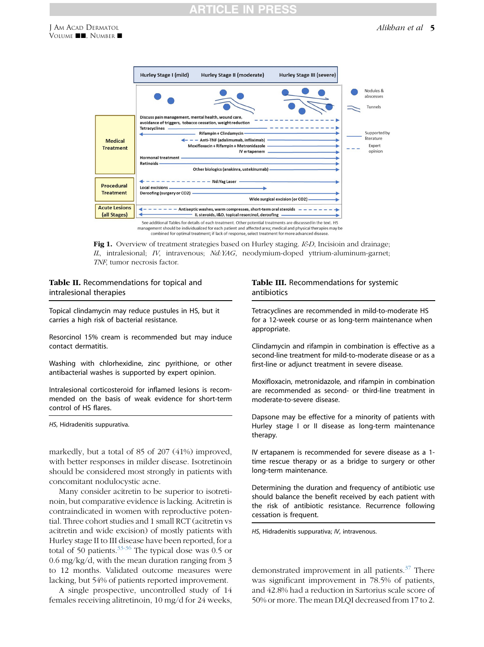# TICLE I

<span id="page-4-0"></span>

Fig 1. Overview of treatment strategies based on Hurley staging. I&D, Incisioin and drainage; IL, intralesional; IV, intravenous; Nd:YAG, neodymium-doped yttrium-aluminum-garnet; TNF, tumor necrosis factor.

#### Table II. Recommendations for topical and intralesional therapies

Topical clindamycin may reduce pustules in HS, but it carries a high risk of bacterial resistance.

Resorcinol 15% cream is recommended but may induce contact dermatitis.

Washing with chlorhexidine, zinc pyrithione, or other antibacterial washes is supported by expert opinion.

Intralesional corticosteroid for inflamed lesions is recommended on the basis of weak evidence for short-term control of HS flares.

HS, Hidradenitis suppurativa.

markedly, but a total of 85 of 207 (41%) improved, with better responses in milder disease. Isotretinoin should be considered most strongly in patients with concomitant nodulocystic acne.

Many consider acitretin to be superior to isotretinoin, but comparative evidence is lacking. Acitretin is contraindicated in women with reproductive potential. Three cohort studies and 1 small RCT (acitretin vs acitretin and wide excision) of mostly patients with Hurley stage II to III disease have been reported, for a total of 50 patients. $33-36$  The typical dose was 0.5 or 0.6 mg/kg/d, with the mean duration ranging from 3 to 12 months. Validated outcome measures were lacking, but 54% of patients reported improvement.

A single prospective, uncontrolled study of 14 females receiving alitretinoin, 10 mg/d for 24 weeks,

#### Table III. Recommendations for systemic antibiotics

Tetracyclines are recommended in mild-to-moderate HS for a 12-week course or as long-term maintenance when appropriate.

Clindamycin and rifampin in combination is effective as a second-line treatment for mild-to-moderate disease or as a first-line or adjunct treatment in severe disease.

Moxifloxacin, metronidazole, and rifampin in combination are recommended as second- or third-line treatment in moderate-to-severe disease.

Dapsone may be effective for a minority of patients with Hurley stage I or II disease as long-term maintenance therapy.

IV ertapanem is recommended for severe disease as a 1 time rescue therapy or as a bridge to surgery or other long-term maintenance.

Determining the duration and frequency of antibiotic use should balance the benefit received by each patient with the risk of antibiotic resistance. Recurrence following cessation is frequent.

HS, Hidradenitis suppurativa; IV, intravenous.

demonstrated improvement in all patients. $37$  There was significant improvement in 78.5% of patients, and 42.8% had a reduction in Sartorius scale score of 50% or more. The mean DLQI decreased from 17 to 2.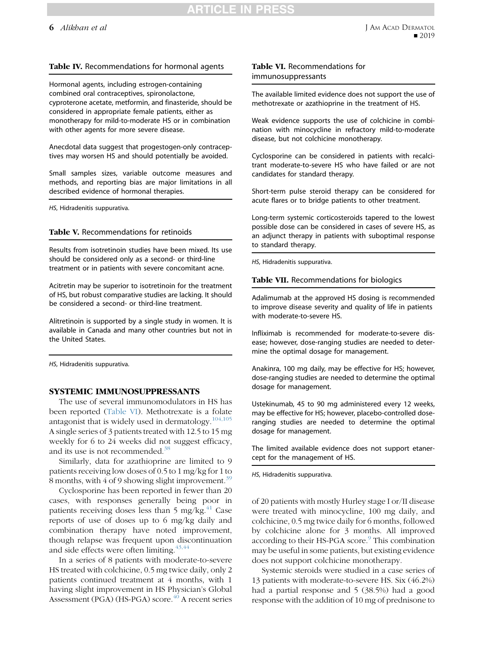#### <span id="page-5-0"></span>Table IV. Recommendations for hormonal agents

Hormonal agents, including estrogen-containing combined oral contraceptives, spironolactone, cyproterone acetate, metformin, and finasteride, should be considered in appropriate female patients, either as monotherapy for mild-to-moderate HS or in combination with other agents for more severe disease.

Anecdotal data suggest that progestogen-only contraceptives may worsen HS and should potentially be avoided.

Small samples sizes, variable outcome measures and methods, and reporting bias are major limitations in all described evidence of hormonal therapies.

HS, Hidradenitis suppurativa.

Table V. Recommendations for retinoids

Results from isotretinoin studies have been mixed. Its use should be considered only as a second- or third-line treatment or in patients with severe concomitant acne.

Acitretin may be superior to isotretinoin for the treatment of HS, but robust comparative studies are lacking. It should be considered a second- or third-line treatment.

Alitretinoin is supported by a single study in women. It is available in Canada and many other countries but not in the United States.

HS, Hidradenitis suppurativa.

#### SYSTEMIC IMMUNOSUPPRESSANTS

The use of several immunomodulators in HS has been reported (Table VI). Methotrexate is a folate antagonist that is widely used in dermatology. $104,105$ A single series of 3 patients treated with 12.5 to 15 mg weekly for 6 to 24 weeks did not suggest efficacy, and its use is not recommended.<sup>38</sup>

Similarly, data for azathioprine are limited to 9 patients receiving low doses of 0.5 to 1 mg/kg for 1 to 8 months, with 4 of 9 showing slight improvement.<sup>[39](#page-8-0)</sup>

Cyclosporine has been reported in fewer than 20 cases, with responses generally being poor in patients receiving doses less than  $5 \text{ mg/kg}$ .<sup>[41](#page-9-0)</sup> Case reports of use of doses up to 6 mg/kg daily and combination therapy have noted improvement, though relapse was frequent upon discontinuation and side effects were often limiting. $43,44$ 

In a series of 8 patients with moderate-to-severe HS treated with colchicine, 0.5 mg twice daily, only 2 patients continued treatment at 4 months, with 1 having slight improvement in HS Physician's Global Assessment (PGA) (HS-PGA) score.<sup>[40](#page-8-0)</sup> A recent series

#### Table VI. Recommendations for immunosuppressants

The available limited evidence does not support the use of methotrexate or azathioprine in the treatment of HS.

Weak evidence supports the use of colchicine in combination with minocycline in refractory mild-to-moderate disease, but not colchicine monotherapy.

Cyclosporine can be considered in patients with recalcitrant moderate-to-severe HS who have failed or are not candidates for standard therapy.

Short-term pulse steroid therapy can be considered for acute flares or to bridge patients to other treatment.

Long-term systemic corticosteroids tapered to the lowest possible dose can be considered in cases of severe HS, as an adjunct therapy in patients with suboptimal response to standard therapy.

HS, Hidradenitis suppurativa.

Table VII. Recommendations for biologics

Adalimumab at the approved HS dosing is recommended to improve disease severity and quality of life in patients with moderate-to-severe HS.

Infliximab is recommended for moderate-to-severe disease; however, dose-ranging studies are needed to determine the optimal dosage for management.

Anakinra, 100 mg daily, may be effective for HS; however, dose-ranging studies are needed to determine the optimal dosage for management.

Ustekinumab, 45 to 90 mg administered every 12 weeks, may be effective for HS; however, placebo-controlled doseranging studies are needed to determine the optimal dosage for management.

The limited available evidence does not support etanercept for the management of HS.

HS, Hidradenitis suppurativa.

of 20 patients with mostly Hurley stage I or/II disease were treated with minocycline, 100 mg daily, and colchicine, 0.5 mg twice daily for 6 months, followed by colchicine alone for 3 months. All improved according to their HS-PGA score.<sup>[9](#page-8-0)</sup> This combination may be useful in some patients, but existing evidence does not support colchicine monotherapy.

Systemic steroids were studied in a case series of 13 patients with moderate-to-severe HS. Six (46.2%) had a partial response and 5 (38.5%) had a good response with the addition of 10 mg of prednisone to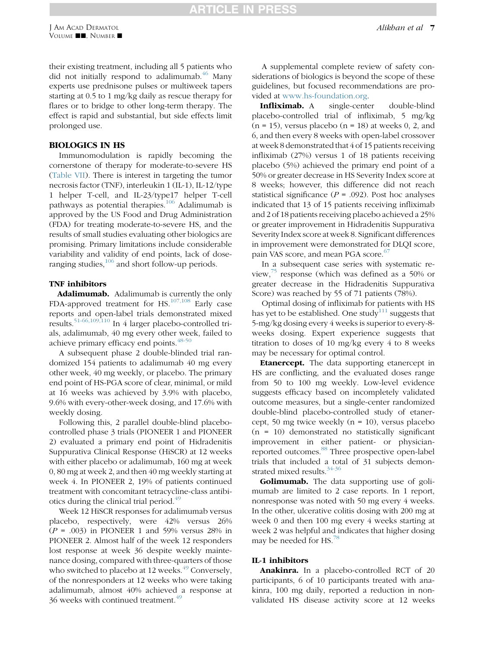their existing treatment, including all 5 patients who did not initially respond to adalimumab. $^{46}$  $^{46}$  $^{46}$  Many experts use prednisone pulses or multiweek tapers starting at 0.5 to 1 mg/kg daily as rescue therapy for flares or to bridge to other long-term therapy. The effect is rapid and substantial, but side effects limit prolonged use.

#### BIOLOGICS IN HS

Immunomodulation is rapidly becoming the cornerstone of therapy for moderate-to-severe HS [\(Table VII\)](#page-5-0). There is interest in targeting the tumor necrosis factor (TNF), interleukin 1 (IL-1), IL-12/type 1 helper T-cell, and IL-23/type17 helper T-cell pathways as potential therapies.[106](#page-10-0) Adalimumab is approved by the US Food and Drug Administration (FDA) for treating moderate-to-severe HS, and the results of small studies evaluating other biologics are promising. Primary limitations include considerable variability and validity of end points, lack of doseranging studies,  $106$  and short follow-up periods.

#### TNF inhibitors

Adalimumab. Adalimumab is currently the only FDA-approved treatment for HS.[107,108](#page-10-0) Early case reports and open-label trials demonstrated mixed results[.51-66,109,110](#page-9-0) In 4 larger placebo-controlled trials, adalimumab, 40 mg every other week, failed to achieve primary efficacy end points.<sup>[48-50](#page-9-0)</sup>

A subsequent phase 2 double-blinded trial randomized 154 patients to adalimumab 40 mg every other week, 40 mg weekly, or placebo. The primary end point of HS-PGA score of clear, minimal, or mild at 16 weeks was achieved by 3.9% with placebo, 9.6% with every-other-week dosing, and 17.6% with weekly dosing.

Following this, 2 parallel double-blind placebocontrolled phase 3 trials (PIONEER 1 and PIONEER 2) evaluated a primary end point of Hidradenitis Suppurativa Clinical Response (HiSCR) at 12 weeks with either placebo or adalimumab, 160 mg at week 0, 80 mg at week 2, and then 40 mg weekly starting at week 4. In PIONEER 2, 19% of patients continued treatment with concomitant tetracycline-class antibi-otics during the clinical trial period.<sup>[49](#page-9-0)</sup>

Week 12 HiSCR responses for adalimumab versus placebo, respectively, were 42% versus 26%  $(P = .003)$  in PIONEER 1 and 59% versus 28% in PIONEER 2. Almost half of the week 12 responders lost response at week 36 despite weekly maintenance dosing, compared with three-quarters of those who switched to placebo at 12 weeks. $49$  Conversely, of the nonresponders at 12 weeks who were taking adalimumab, almost 40% achieved a response at 36 weeks with continued treatment.<sup>[49](#page-9-0)</sup>

A supplemental complete review of safety considerations of biologics is beyond the scope of these guidelines, but focused recommendations are provided at [www.hs-foundation.org.](http://www.hs-foundation.org)

Infliximab. A single-center double-blind placebo-controlled trial of infliximab, 5 mg/kg  $(n = 15)$ , versus placebo  $(n = 18)$  at weeks 0, 2, and 6, and then every 8 weeks with open-label crossover at week 8 demonstrated that 4 of 15 patients receiving infliximab (27%) versus 1 of 18 patients receiving placebo (5%) achieved the primary end point of a 50% or greater decrease in HS Severity Index score at 8 weeks; however, this difference did not reach statistical significance ( $P = .092$ ). Post hoc analyses indicated that 13 of 15 patients receiving infliximab and 2 of 18 patients receiving placebo achieved a 25% or greater improvement in Hidradenitis Suppurativa Severity Index score at week 8. Significant differences in improvement were demonstrated for DLQI score, pain VAS score, and mean PGA score.<sup>[67](#page-9-0)</sup>

In a subsequent case series with systematic review, $75$  response (which was defined as a 50% or greater decrease in the Hidradenitis Suppurativa Score) was reached by 55 of 71 patients (78%).

Optimal dosing of infliximab for patients with HS has yet to be established. One study<sup>[111](#page-10-0)</sup> suggests that 5-mg/kg dosing every 4 weeks is superior to every-8 weeks dosing. Expert experience suggests that titration to doses of 10 mg/kg every 4 to 8 weeks may be necessary for optimal control.

**Etanercept.** The data supporting etanercept in HS are conflicting, and the evaluated doses range from 50 to 100 mg weekly. Low-level evidence suggests efficacy based on incompletely validated outcome measures, but a single-center randomized double-blind placebo-controlled study of etanercept, 50 mg twice weekly (n = 10), versus placebo  $(n = 10)$  demonstrated no statistically significant improvement in either patient- or physician-reported outcomes.<sup>[88](#page-10-0)</sup> Three prospective open-label trials that included a total of 31 subjects demonstrated mixed results. $34-36$ 

Golimumab. The data supporting use of golimumab are limited to 2 case reports. In 1 report, nonresponse was noted with 50 mg every 4 weeks. In the other, ulcerative colitis dosing with 200 mg at week 0 and then 100 mg every 4 weeks starting at week 2 was helpful and indicates that higher dosing may be needed for HS. $^{8}$ 

#### IL-1 inhibitors

**Anakinra.** In a placebo-controlled RCT of 20 participants, 6 of 10 participants treated with anakinra, 100 mg daily, reported a reduction in nonvalidated HS disease activity score at 12 weeks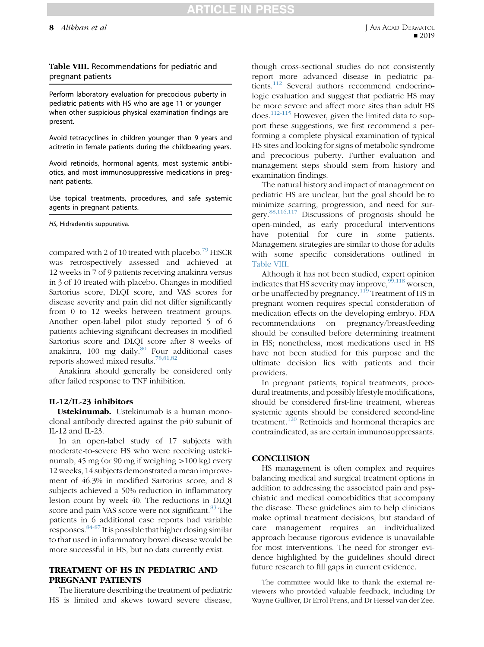ICLE IN

#### Table VIII. Recommendations for pediatric and pregnant patients

Perform laboratory evaluation for precocious puberty in pediatric patients with HS who are age 11 or younger when other suspicious physical examination findings are present.

Avoid tetracyclines in children younger than 9 years and acitretin in female patients during the childbearing years.

Avoid retinoids, hormonal agents, most systemic antibiotics, and most immunosuppressive medications in pregnant patients.

Use topical treatments, procedures, and safe systemic agents in pregnant patients.

HS, Hidradenitis suppurativa.

compared with 2 of 10 treated with placebo.<sup>[79](#page-9-0)</sup> HiSCR was retrospectively assessed and achieved at 12 weeks in 7 of 9 patients receiving anakinra versus in 3 of 10 treated with placebo. Changes in modified Sartorius score, DLQI score, and VAS scores for disease severity and pain did not differ significantly from 0 to 12 weeks between treatment groups. Another open-label pilot study reported 5 of 6 patients achieving significant decreases in modified Sartorius score and DLQI score after 8 weeks of anakinra, 100 mg daily. $80$  Four additional cases reports showed mixed results.[78,81,82](#page-9-0)

Anakinra should generally be considered only after failed response to TNF inhibition.

#### IL-12/IL-23 inhibitors

Ustekinumab. Ustekinumab is a human monoclonal antibody directed against the p40 subunit of IL-12 and IL-23.

In an open-label study of 17 subjects with moderate-to-severe HS who were receiving ustekinumab, 45 mg (or 90 mg if weighing  $>100$  kg) every 12 weeks, 14 subjects demonstrated a mean improvement of 46.3% in modified Sartorius score, and 8 subjects achieved a 50% reduction in inflammatory lesion count by week 40. The reductions in DLQI score and pain VAS score were not significant.<sup>[83](#page-10-0)</sup> The patients in 6 additional case reports had variable responses.  $84-87$  It is possible that higher dosing similar to that used in inflammatory bowel disease would be more successful in HS, but no data currently exist.

### TREATMENT OF HS IN PEDIATRIC AND PREGNANT PATIENTS

The literature describing the treatment of pediatric HS is limited and skews toward severe disease, though cross-sectional studies do not consistently report more advanced disease in pediatric pa-tients.<sup>[112](#page-10-0)</sup> Several authors recommend endocrinologic evaluation and suggest that pediatric HS may be more severe and affect more sites than adult HS does.[112-115](#page-10-0) However, given the limited data to support these suggestions, we first recommend a performing a complete physical examination of typical HS sites and looking for signs of metabolic syndrome and precocious puberty. Further evaluation and management steps should stem from history and examination findings.

The natural history and impact of management on pediatric HS are unclear, but the goal should be to minimize scarring, progression, and need for sur-gery.<sup>[88,116,117](#page-10-0)</sup> Discussions of prognosis should be open-minded, as early procedural interventions have potential for cure in some patients. Management strategies are similar to those for adults with some specific considerations outlined in Table VIII.

Although it has not been studied, expert opinion indicates that HS severity may improve,  $99,118$  worsen, or be unaffected by pregnancy.[119](#page-10-0) Treatment of HS in pregnant women requires special consideration of medication effects on the developing embryo. FDA recommendations on pregnancy/breastfeeding should be consulted before determining treatment in HS; nonetheless, most medications used in HS have not been studied for this purpose and the ultimate decision lies with patients and their providers.

In pregnant patients, topical treatments, procedural treatments, and possibly lifestyle modifications, should be considered first-line treatment, whereas systemic agents should be considered second-line treatment.<sup>[120](#page-10-0)</sup> Retinoids and hormonal therapies are contraindicated, as are certain immunosuppressants.

#### **CONCLUSION**

HS management is often complex and requires balancing medical and surgical treatment options in addition to addressing the associated pain and psychiatric and medical comorbidities that accompany the disease. These guidelines aim to help clinicians make optimal treatment decisions, but standard of care management requires an individualized approach because rigorous evidence is unavailable for most interventions. The need for stronger evidence highlighted by the guidelines should direct future research to fill gaps in current evidence.

The committee would like to thank the external reviewers who provided valuable feedback, including Dr Wayne Gulliver, Dr Errol Prens, and Dr Hessel van der Zee.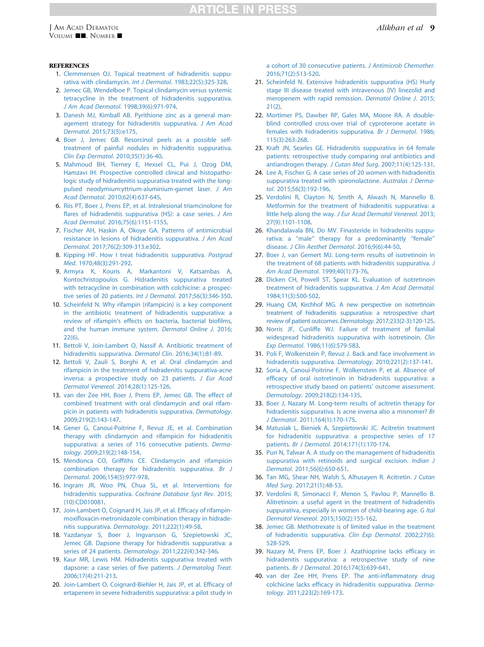#### <span id="page-8-0"></span>**REFERENCES**

- 1. [Clemmensen OJ. Topical treatment of hidradenitis suppu](http://refhub.elsevier.com/S0190-9622(19)30368-8/sref1)[rativa with clindamycin.](http://refhub.elsevier.com/S0190-9622(19)30368-8/sref1) Int J Dermatol. 1983;22(5):325-328.
- 2. [Jemec GB, Wendelboe P. Topical clindamycin versus systemic](http://refhub.elsevier.com/S0190-9622(19)30368-8/sref2) [tetracycline in the treatment of hidradenitis suppurativa.](http://refhub.elsevier.com/S0190-9622(19)30368-8/sref2) [J Am Acad Dermatol](http://refhub.elsevier.com/S0190-9622(19)30368-8/sref2). 1998;39(6):971-974.
- 3. [Danesh MJ, Kimball AB. Pyrithione zinc as a general man](http://refhub.elsevier.com/S0190-9622(19)30368-8/sref3)[agement strategy for hidradenitis suppurativa.](http://refhub.elsevier.com/S0190-9622(19)30368-8/sref3) J Am Acad Dermatol[. 2015;73\(5\):e175.](http://refhub.elsevier.com/S0190-9622(19)30368-8/sref3)
- 4. [Boer J, Jemec GB. Resorcinol peels as a possible self](http://refhub.elsevier.com/S0190-9622(19)30368-8/sref4)[treatment of painful nodules in hidradenitis suppurativa.](http://refhub.elsevier.com/S0190-9622(19)30368-8/sref4) [Clin Exp Dermatol](http://refhub.elsevier.com/S0190-9622(19)30368-8/sref4). 2010;35(1):36-40.
- 5. [Mahmoud BH, Tierney E, Hexsel CL, Pui J, Ozog DM,](http://refhub.elsevier.com/S0190-9622(19)30368-8/sref5) [Hamzavi IH. Prospective controlled clinical and histopatho](http://refhub.elsevier.com/S0190-9622(19)30368-8/sref5)[logic study of hidradenitis suppurativa treated with the long](http://refhub.elsevier.com/S0190-9622(19)30368-8/sref5)[pulsed neodymium:yttrium-aluminium-garnet laser.](http://refhub.elsevier.com/S0190-9622(19)30368-8/sref5) J Am Acad Dermatol[. 2010;62\(4\):637-645](http://refhub.elsevier.com/S0190-9622(19)30368-8/sref5).
- 6. [Riis PT, Boer J, Prens EP, et al. Intralesional triamcinolone for](http://refhub.elsevier.com/S0190-9622(19)30368-8/sref6) [flares of hidradenitis suppurativa \(HS\): a case series.](http://refhub.elsevier.com/S0190-9622(19)30368-8/sref6) J Am Acad Dermatol[. 2016;75\(6\):1151-1155](http://refhub.elsevier.com/S0190-9622(19)30368-8/sref6).
- 7. [Fischer AH, Haskin A, Okoye GA. Patterns of antimicrobial](http://refhub.elsevier.com/S0190-9622(19)30368-8/sref7) [resistance in lesions of hidradenitis suppurativa.](http://refhub.elsevier.com/S0190-9622(19)30368-8/sref7) J Am Acad Dermatol[. 2017;76\(2\):309-313.e302](http://refhub.elsevier.com/S0190-9622(19)30368-8/sref7).
- 8. [Kipping HF. How I treat hidradenitis suppurativa.](http://refhub.elsevier.com/S0190-9622(19)30368-8/sref8) Postgrad Med[. 1970;48\(3\):291-292](http://refhub.elsevier.com/S0190-9622(19)30368-8/sref8).
- 9. [Armyra K, Kouris A, Markantoni V, Katsambas A,](http://refhub.elsevier.com/S0190-9622(19)30368-8/sref9) [Kontochristopoulos G. Hidradenitis suppurativa treated](http://refhub.elsevier.com/S0190-9622(19)30368-8/sref9) [with tetracycline in combination with colchicine: a prospec](http://refhub.elsevier.com/S0190-9622(19)30368-8/sref9)[tive series of 20 patients.](http://refhub.elsevier.com/S0190-9622(19)30368-8/sref9) Int J Dermatol. 2017;56(3):346-350.
- 10. [Scheinfeld N. Why rifampin \(rifampicin\) is a key component](http://refhub.elsevier.com/S0190-9622(19)30368-8/sref10) [in the antibiotic treatment of hidradenitis suppurativa: a](http://refhub.elsevier.com/S0190-9622(19)30368-8/sref10) [review of rifampin's effects on bacteria, bacterial biofilms,](http://refhub.elsevier.com/S0190-9622(19)30368-8/sref10) [and the human immune system.](http://refhub.elsevier.com/S0190-9622(19)30368-8/sref10) Dermatol Online J. 2016; [22\(6\).](http://refhub.elsevier.com/S0190-9622(19)30368-8/sref10)
- 11. [Bettoli V, Join-Lambert O, Nassif A. Antibiotic treatment of](http://refhub.elsevier.com/S0190-9622(19)30368-8/sref11) [hidradenitis suppurativa.](http://refhub.elsevier.com/S0190-9622(19)30368-8/sref11) Dermatol Clin. 2016;34(1):81-89.
- 12. [Bettoli V, Zauli S, Borghi A, et al. Oral clindamycin and](http://refhub.elsevier.com/S0190-9622(19)30368-8/sref12) [rifampicin in the treatment of hidradenitis suppurativa-acne](http://refhub.elsevier.com/S0190-9622(19)30368-8/sref12) [inversa: a prospective study on 23 patients.](http://refhub.elsevier.com/S0190-9622(19)30368-8/sref12) J Eur Acad Dermatol Venereol[. 2014;28\(1\):125-126](http://refhub.elsevier.com/S0190-9622(19)30368-8/sref12).
- 13. [van der Zee HH, Boer J, Prens EP, Jemec GB. The effect of](http://refhub.elsevier.com/S0190-9622(19)30368-8/sref13) [combined treatment with oral clindamycin and oral rifam](http://refhub.elsevier.com/S0190-9622(19)30368-8/sref13)[picin in patients with hidradenitis suppurativa.](http://refhub.elsevier.com/S0190-9622(19)30368-8/sref13) Dermatology. [2009;219\(2\):143-147](http://refhub.elsevier.com/S0190-9622(19)30368-8/sref13).
- 14. [Gener G, Canoui-Poitrine F, Revuz JE, et al. Combination](http://refhub.elsevier.com/S0190-9622(19)30368-8/sref14) [therapy with clindamycin and rifampicin for hidradenitis](http://refhub.elsevier.com/S0190-9622(19)30368-8/sref14) [suppurativa: a series of 116 consecutive patients.](http://refhub.elsevier.com/S0190-9622(19)30368-8/sref14) Dermatology[. 2009;219\(2\):148-154.](http://refhub.elsevier.com/S0190-9622(19)30368-8/sref14)
- 15. [Mendonca CO, Griffiths CE. Clindamycin and rifampicin](http://refhub.elsevier.com/S0190-9622(19)30368-8/sref15) [combination therapy for hidradenitis suppurativa.](http://refhub.elsevier.com/S0190-9622(19)30368-8/sref15) Br J Dermatol[. 2006;154\(5\):977-978.](http://refhub.elsevier.com/S0190-9622(19)30368-8/sref15)
- 16. [Ingram JR, Woo PN, Chua SL, et al. Interventions for](http://refhub.elsevier.com/S0190-9622(19)30368-8/sref16) hidradenitis suppurativa. [Cochrane Database Syst Rev](http://refhub.elsevier.com/S0190-9622(19)30368-8/sref16). 2015; [\(10\):CD010081.](http://refhub.elsevier.com/S0190-9622(19)30368-8/sref16)
- 17. [Join-Lambert O, Coignard H, Jais JP, et al. Efficacy of rifampin](http://refhub.elsevier.com/S0190-9622(19)30368-8/sref17)[moxifloxacin-metronidazole combination therapy in hidrade](http://refhub.elsevier.com/S0190-9622(19)30368-8/sref17)nitis suppurativa. Dermatology[. 2011;222\(1\):49-58.](http://refhub.elsevier.com/S0190-9622(19)30368-8/sref17)
- 18. [Yazdanyar S, Boer J, Ingvarsson G, Szepietowski JC,](http://refhub.elsevier.com/S0190-9622(19)30368-8/sref18) [Jemec GB. Dapsone therapy for hidradenitis suppurativa: a](http://refhub.elsevier.com/S0190-9622(19)30368-8/sref18) series of 24 patients. Dermatology[. 2011;222\(4\):342-346](http://refhub.elsevier.com/S0190-9622(19)30368-8/sref18).
- 19. [Kaur MR, Lewis HM. Hidradenitis suppurativa treated with](http://refhub.elsevier.com/S0190-9622(19)30368-8/sref19) [dapsone: a case series of five patients.](http://refhub.elsevier.com/S0190-9622(19)30368-8/sref19) J Dermatolog Treat. [2006;17\(4\):211-213](http://refhub.elsevier.com/S0190-9622(19)30368-8/sref19).
- 20. [Join-Lambert O, Coignard-Biehler H, Jais JP, et al. Efficacy of](http://refhub.elsevier.com/S0190-9622(19)30368-8/sref20) [ertapenem in severe hidradenitis suppurativa: a pilot study in](http://refhub.elsevier.com/S0190-9622(19)30368-8/sref20)

[a cohort of 30 consecutive patients.](http://refhub.elsevier.com/S0190-9622(19)30368-8/sref20) J Antimicrob Chemother. [2016;71\(2\):513-520](http://refhub.elsevier.com/S0190-9622(19)30368-8/sref20).

- 21. [Scheinfeld N. Extensive hidradenitis suppurativa \(HS\) Hurly](http://refhub.elsevier.com/S0190-9622(19)30368-8/sref21) [stage III disease treated with intravenous \(IV\) linezolid and](http://refhub.elsevier.com/S0190-9622(19)30368-8/sref21) [meropenem with rapid remission.](http://refhub.elsevier.com/S0190-9622(19)30368-8/sref21) Dermatol Online J. 2015; [21\(2\).](http://refhub.elsevier.com/S0190-9622(19)30368-8/sref21)
- 22. [Mortimer PS, Dawber RP, Gales MA, Moore RA. A double](http://refhub.elsevier.com/S0190-9622(19)30368-8/sref22)[blind controlled cross-over trial of cyproterone acetate in](http://refhub.elsevier.com/S0190-9622(19)30368-8/sref22) [females with hidradenitis suppurativa.](http://refhub.elsevier.com/S0190-9622(19)30368-8/sref22) Br J Dermatol. 1986; [115\(3\):263-268](http://refhub.elsevier.com/S0190-9622(19)30368-8/sref22).
- 23. [Kraft JN, Searles GE. Hidradenitis suppurativa in 64 female](http://refhub.elsevier.com/S0190-9622(19)30368-8/sref23) [patients: retrospective study comparing oral antibiotics and](http://refhub.elsevier.com/S0190-9622(19)30368-8/sref23) [antiandrogen therapy.](http://refhub.elsevier.com/S0190-9622(19)30368-8/sref23) J Cutan Med Surg. 2007;11(4):125-131.
- 24. [Lee A, Fischer G. A case series of 20 women with hidradenitis](http://refhub.elsevier.com/S0190-9622(19)30368-8/sref24) [suppurativa treated with spironolactone.](http://refhub.elsevier.com/S0190-9622(19)30368-8/sref24) Australas J Dermatol[. 2015;56\(3\):192-196.](http://refhub.elsevier.com/S0190-9622(19)30368-8/sref24)
- 25. [Verdolini R, Clayton N, Smith A, Alwash N, Mannello B.](http://refhub.elsevier.com/S0190-9622(19)30368-8/sref25) [Metformin for the treatment of hidradenitis suppurativa: a](http://refhub.elsevier.com/S0190-9622(19)30368-8/sref25) little help along the way. [J Eur Acad Dermatol Venereol](http://refhub.elsevier.com/S0190-9622(19)30368-8/sref25). 2013; [27\(9\):1101-1108](http://refhub.elsevier.com/S0190-9622(19)30368-8/sref25).
- 26. [Khandalavala BN, Do MV. Finasteride in hidradenitis suppu](http://refhub.elsevier.com/S0190-9622(19)30368-8/sref26)[rativa: a ''male'' therapy for a predominantly ''female''](http://refhub.elsevier.com/S0190-9622(19)30368-8/sref26) disease. [J Clin Aesthet Dermatol](http://refhub.elsevier.com/S0190-9622(19)30368-8/sref26). 2016;9(6):44-50.
- 27. [Boer J, van Gemert MJ. Long-term results of isotretinoin in](http://refhub.elsevier.com/S0190-9622(19)30368-8/sref27) [the treatment of 68 patients with hidradenitis suppurativa.](http://refhub.elsevier.com/S0190-9622(19)30368-8/sref27) J [Am Acad Dermatol](http://refhub.elsevier.com/S0190-9622(19)30368-8/sref27). 1999;40(1):73-76.
- 28. [Dicken CH, Powell ST, Spear KL. Evaluation of isotretinoin](http://refhub.elsevier.com/S0190-9622(19)30368-8/sref28) [treatment of hidradenitis suppurativa.](http://refhub.elsevier.com/S0190-9622(19)30368-8/sref28) J Am Acad Dermatol. [1984;11\(3\):500-502](http://refhub.elsevier.com/S0190-9622(19)30368-8/sref28).
- 29. [Huang CM, Kirchhof MG. A new perspective on isotretinoin](http://refhub.elsevier.com/S0190-9622(19)30368-8/sref29) [treatment of hidradenitis suppurativa: a retrospective chart](http://refhub.elsevier.com/S0190-9622(19)30368-8/sref29) [review of patient outcomes.](http://refhub.elsevier.com/S0190-9622(19)30368-8/sref29)Dermatology. 2017;233(2-3):120-125.
- 30. [Norris JF, Cunliffe WJ. Failure of treatment of familial](http://refhub.elsevier.com/S0190-9622(19)30368-8/sref30) [widespread hidradenitis suppurativa with isotretinoin.](http://refhub.elsevier.com/S0190-9622(19)30368-8/sref30) Clin Exp Dermatol[. 1986;11\(6\):579-583.](http://refhub.elsevier.com/S0190-9622(19)30368-8/sref30)
- 31. [Poli F, Wolkenstein P, Revuz J. Back and face involvement in](http://refhub.elsevier.com/S0190-9622(19)30368-8/sref31) [hidradenitis suppurativa.](http://refhub.elsevier.com/S0190-9622(19)30368-8/sref31) Dermatology. 2010;221(2):137-141.
- 32. [Soria A, Canoui-Poitrine F, Wolkenstein P, et al. Absence of](http://refhub.elsevier.com/S0190-9622(19)30368-8/sref32) [efficacy of oral isotretinoin in hidradenitis suppurativa: a](http://refhub.elsevier.com/S0190-9622(19)30368-8/sref32) [retrospective study based on patients' outcome assessment.](http://refhub.elsevier.com/S0190-9622(19)30368-8/sref32) Dermatology[. 2009;218\(2\):134-135.](http://refhub.elsevier.com/S0190-9622(19)30368-8/sref32)
- 33. [Boer J, Nazary M. Long-term results of acitretin therapy for](http://refhub.elsevier.com/S0190-9622(19)30368-8/sref33) [hidradenitis suppurativa. Is acne inversa also a misnomer?](http://refhub.elsevier.com/S0190-9622(19)30368-8/sref33) Br J Dermatol[. 2011;164\(1\):170-175](http://refhub.elsevier.com/S0190-9622(19)30368-8/sref33).
- 34. [Matusiak L, Bieniek A, Szepietowski JC. Acitretin treatment](http://refhub.elsevier.com/S0190-9622(19)30368-8/sref34) [for hidradenitis suppurativa: a prospective series of 17](http://refhub.elsevier.com/S0190-9622(19)30368-8/sref34) patients. Br J Dermatol[. 2014;171\(1\):170-174.](http://refhub.elsevier.com/S0190-9622(19)30368-8/sref34)
- 35. [Puri N, Talwar A. A study on the management of hidradenitis](http://refhub.elsevier.com/S0190-9622(19)30368-8/sref35) [suppurativa with retinoids and surgical excision.](http://refhub.elsevier.com/S0190-9622(19)30368-8/sref35) Indian J Dermatol[. 2011;56\(6\):650-651.](http://refhub.elsevier.com/S0190-9622(19)30368-8/sref35)
- 36. [Tan MG, Shear NH, Walsh S, Alhusayen R. Acitretin.](http://refhub.elsevier.com/S0190-9622(19)30368-8/sref36) J Cutan Med Surg[. 2017;21\(1\):48-53](http://refhub.elsevier.com/S0190-9622(19)30368-8/sref36).
- 37. [Verdolini R, Simonacci F, Menon S, Pavlou P, Mannello B.](http://refhub.elsevier.com/S0190-9622(19)30368-8/sref37) [Alitretinoin: a useful agent in the treatment of hidradenitis](http://refhub.elsevier.com/S0190-9622(19)30368-8/sref37) [suppurativa, especially in women of child-bearing age.](http://refhub.elsevier.com/S0190-9622(19)30368-8/sref37) G Ital Dermatol Venereol[. 2015;150\(2\):155-162](http://refhub.elsevier.com/S0190-9622(19)30368-8/sref37).
- 38. [Jemec GB. Methotrexate is of limited value in the treatment](http://refhub.elsevier.com/S0190-9622(19)30368-8/sref38) [of hidradenitis suppurativa.](http://refhub.elsevier.com/S0190-9622(19)30368-8/sref38) Clin Exp Dermatol. 2002;27(6): [528-529.](http://refhub.elsevier.com/S0190-9622(19)30368-8/sref38)
- 39. [Nazary M, Prens EP, Boer J. Azathioprine lacks efficacy in](http://refhub.elsevier.com/S0190-9622(19)30368-8/sref39) [hidradenitis suppurativa: a retrospective study of nine](http://refhub.elsevier.com/S0190-9622(19)30368-8/sref39) patients. Br J Dermatol[. 2016;174\(3\):639-641.](http://refhub.elsevier.com/S0190-9622(19)30368-8/sref39)
- 40. [van der Zee HH, Prens EP. The anti-inflammatory drug](http://refhub.elsevier.com/S0190-9622(19)30368-8/sref40) [colchicine lacks efficacy in hidradenitis suppurativa.](http://refhub.elsevier.com/S0190-9622(19)30368-8/sref40) Dermatology[. 2011;223\(2\):169-173.](http://refhub.elsevier.com/S0190-9622(19)30368-8/sref40)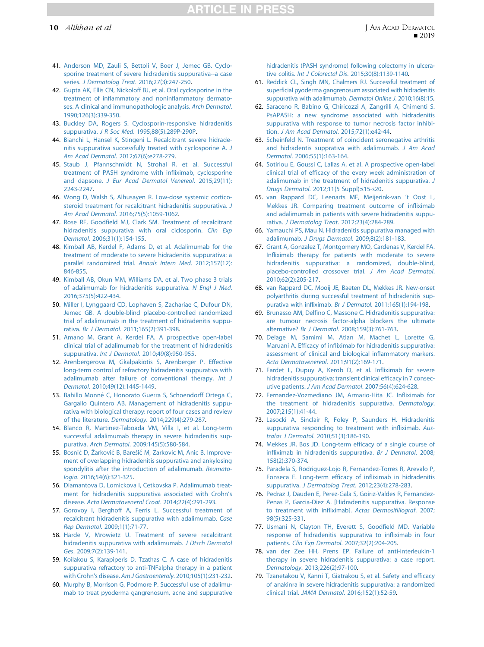# **TICLE IN PRES**

- <span id="page-9-0"></span>41. [Anderson MD, Zauli S, Bettoli V, Boer J, Jemec GB. Cyclo](http://refhub.elsevier.com/S0190-9622(19)30368-8/sref41)[sporine treatment of severe hidradenitis suppurativa--a case](http://refhub.elsevier.com/S0190-9622(19)30368-8/sref41) series. J Dermatolog Treat[. 2016;27\(3\):247-250.](http://refhub.elsevier.com/S0190-9622(19)30368-8/sref41)
- 42. [Gupta AK, Ellis CN, Nickoloff BJ, et al. Oral cyclosporine in the](http://refhub.elsevier.com/S0190-9622(19)30368-8/sref42) [treatment of inflammatory and noninflammatory dermato](http://refhub.elsevier.com/S0190-9622(19)30368-8/sref42)[ses. A clinical and immunopathologic analysis.](http://refhub.elsevier.com/S0190-9622(19)30368-8/sref42) Arch Dermatol. [1990;126\(3\):339-350](http://refhub.elsevier.com/S0190-9622(19)30368-8/sref42).
- 43. [Buckley DA, Rogers S. Cyclosporin-responsive hidradenitis](http://refhub.elsevier.com/S0190-9622(19)30368-8/sref43) suppurativa. J R Soc Med[. 1995;88\(5\):289P-290P.](http://refhub.elsevier.com/S0190-9622(19)30368-8/sref43)
- 44. [Bianchi L, Hansel K, Stingeni L. Recalcitrant severe hidrade](http://refhub.elsevier.com/S0190-9622(19)30368-8/sref44)[nitis suppurativa successfully treated with cyclosporine A.](http://refhub.elsevier.com/S0190-9622(19)30368-8/sref44) J Am Acad Dermatol[. 2012;67\(6\):e278-279](http://refhub.elsevier.com/S0190-9622(19)30368-8/sref44).
- 45. [Staub J, Pfannschmidt N, Strohal R, et al. Successful](http://refhub.elsevier.com/S0190-9622(19)30368-8/sref45) [treatment of PASH syndrome with infliximab, cyclosporine](http://refhub.elsevier.com/S0190-9622(19)30368-8/sref45) and dapsone. [J Eur Acad Dermatol Venereol](http://refhub.elsevier.com/S0190-9622(19)30368-8/sref45). 2015;29(11): [2243-2247.](http://refhub.elsevier.com/S0190-9622(19)30368-8/sref45)
- 46. [Wong D, Walsh S, Alhusayen R. Low-dose systemic cortico](http://refhub.elsevier.com/S0190-9622(19)30368-8/sref46)[steroid treatment for recalcitrant hidradenitis suppurativa.](http://refhub.elsevier.com/S0190-9622(19)30368-8/sref46) J Am Acad Dermatol[. 2016;75\(5\):1059-1062](http://refhub.elsevier.com/S0190-9622(19)30368-8/sref46).
- 47. [Rose RF, Goodfield MJ, Clark SM. Treatment of recalcitrant](http://refhub.elsevier.com/S0190-9622(19)30368-8/sref47) [hidradenitis suppurativa with oral ciclosporin.](http://refhub.elsevier.com/S0190-9622(19)30368-8/sref47) Clin Exp Dermatol[. 2006;31\(1\):154-155.](http://refhub.elsevier.com/S0190-9622(19)30368-8/sref47)
- 48. [Kimball AB, Kerdel F, Adams D, et al. Adalimumab for the](http://refhub.elsevier.com/S0190-9622(19)30368-8/sref48) [treatment of moderate to severe hidradenitis suppurativa: a](http://refhub.elsevier.com/S0190-9622(19)30368-8/sref48) [parallel randomized trial.](http://refhub.elsevier.com/S0190-9622(19)30368-8/sref48) Annals Intern Med. 2012;157(12): [846-855.](http://refhub.elsevier.com/S0190-9622(19)30368-8/sref48)
- 49. [Kimball AB, Okun MM, Williams DA, et al. Two phase 3 trials](http://refhub.elsevier.com/S0190-9622(19)30368-8/sref49) [of adalimumab for hidradenitis suppurativa.](http://refhub.elsevier.com/S0190-9622(19)30368-8/sref49) N Engl J Med. [2016;375\(5\):422-434](http://refhub.elsevier.com/S0190-9622(19)30368-8/sref49).
- 50. [Miller I, Lynggaard CD, Lophaven S, Zachariae C, Dufour DN,](http://refhub.elsevier.com/S0190-9622(19)30368-8/sref50) [Jemec GB. A double-blind placebo-controlled randomized](http://refhub.elsevier.com/S0190-9622(19)30368-8/sref50) [trial of adalimumab in the treatment of hidradenitis suppu](http://refhub.elsevier.com/S0190-9622(19)30368-8/sref50)rativa. Br J Dermatol[. 2011;165\(2\):391-398](http://refhub.elsevier.com/S0190-9622(19)30368-8/sref50).
- 51. [Amano M, Grant A, Kerdel FA. A prospective open-label](http://refhub.elsevier.com/S0190-9622(19)30368-8/sref51) [clinical trial of adalimumab for the treatment of hidradenitis](http://refhub.elsevier.com/S0190-9622(19)30368-8/sref51) suppurativa. Int J Dermatol[. 2010;49\(8\):950-955](http://refhub.elsevier.com/S0190-9622(19)30368-8/sref51).
- 52. [Arenbergerova M, Gkalpakiotis S, Arenberger P. Effective](http://refhub.elsevier.com/S0190-9622(19)30368-8/sref52) [long-term control of refractory hidradenitis suppurativa with](http://refhub.elsevier.com/S0190-9622(19)30368-8/sref52) [adalimumab after failure of conventional therapy.](http://refhub.elsevier.com/S0190-9622(19)30368-8/sref52) Int J Dermatol[. 2010;49\(12\):1445-1449.](http://refhub.elsevier.com/S0190-9622(19)30368-8/sref52)
- 53. [Bahillo Monn](http://refhub.elsevier.com/S0190-9622(19)30368-8/sref53)é [C, Honorato Guerra S, Schoendorff Ortega C,](http://refhub.elsevier.com/S0190-9622(19)30368-8/sref53) [Gargallo Quintero AB. Management of hidradenitis suppu](http://refhub.elsevier.com/S0190-9622(19)30368-8/sref53)[rativa with biological therapy: report of four cases and review](http://refhub.elsevier.com/S0190-9622(19)30368-8/sref53) of the literature. Dermatology[. 2014;229\(4\):279-287.](http://refhub.elsevier.com/S0190-9622(19)30368-8/sref53)
- 54. [Blanco R, Martinez-Taboada VM, Villa I, et al. Long-term](http://refhub.elsevier.com/S0190-9622(19)30368-8/sref54) [successful adalimumab therapy in severe hidradenitis sup](http://refhub.elsevier.com/S0190-9622(19)30368-8/sref54)purativa. Arch Dermatol[. 2009;145\(5\):580-584.](http://refhub.elsevier.com/S0190-9622(19)30368-8/sref54)
- 55. [Bosni](http://refhub.elsevier.com/S0190-9622(19)30368-8/sref55)ć [D,](http://refhub.elsevier.com/S0190-9622(19)30368-8/sref55) Ž[arkovi](http://refhub.elsevier.com/S0190-9622(19)30368-8/sref55)ć B, Bareš[i](http://refhub.elsevier.com/S0190-9622(19)30368-8/sref55)ć [M, Zarkovic M, Anic B. Improve](http://refhub.elsevier.com/S0190-9622(19)30368-8/sref55)[ment of overlapping hidradenitis suppurativa and ankylosing](http://refhub.elsevier.com/S0190-9622(19)30368-8/sref55) [spondylitis after the introduction of adalimumab.](http://refhub.elsevier.com/S0190-9622(19)30368-8/sref55) Reumatologia[. 2016;54\(6\):321-325](http://refhub.elsevier.com/S0190-9622(19)30368-8/sref55).
- 56. [Diamantova D, Lomickova I, Cetkovska P. Adalimumab treat](http://refhub.elsevier.com/S0190-9622(19)30368-8/sref56)[ment for hidradenitis suppurativa associated with Crohn's](http://refhub.elsevier.com/S0190-9622(19)30368-8/sref56) disease. [Acta Dermatovenerol Croat](http://refhub.elsevier.com/S0190-9622(19)30368-8/sref56). 2014;22(4):291-293.
- 57. [Gorovoy I, Berghoff A, Ferris L. Successful treatment of](http://refhub.elsevier.com/S0190-9622(19)30368-8/sref57) [recalcitrant hidradenitis suppurativa with adalimumab.](http://refhub.elsevier.com/S0190-9622(19)30368-8/sref57) Case Rep Dermatol[. 2009;1\(1\):71-77.](http://refhub.elsevier.com/S0190-9622(19)30368-8/sref57)
- 58. [Harde V, Mrowietz U. Treatment of severe recalcitrant](http://refhub.elsevier.com/S0190-9622(19)30368-8/sref58) [hidradenitis suppurativa with adalimumab.](http://refhub.elsevier.com/S0190-9622(19)30368-8/sref58) J Dtsch Dermatol Ges[. 2009;7\(2\):139-141.](http://refhub.elsevier.com/S0190-9622(19)30368-8/sref58)
- 59. [Koilakou S, Karapiperis D, Tzathas C. A case of hidradenitis](http://refhub.elsevier.com/S0190-9622(19)30368-8/sref59) [suppurativa refractory to anti-TNFalpha therapy in a patient](http://refhub.elsevier.com/S0190-9622(19)30368-8/sref59) with Crohn's disease. Am J Gastroenteroly[. 2010;105\(1\):231-232.](http://refhub.elsevier.com/S0190-9622(19)30368-8/sref59)
- 60. [Murphy B, Morrison G, Podmore P. Successful use of adalimu](http://refhub.elsevier.com/S0190-9622(19)30368-8/sref60)[mab to treat pyoderma gangrenosum, acne and suppurative](http://refhub.elsevier.com/S0190-9622(19)30368-8/sref60)

[hidradenitis \(PASH syndrome\) following colectomy in ulcera](http://refhub.elsevier.com/S0190-9622(19)30368-8/sref60)tive colitis. Int J Colorectal Dis[. 2015;30\(8\):1139-1140](http://refhub.elsevier.com/S0190-9622(19)30368-8/sref60).

- 61. [Reddick CL, Singh MN, Chalmers](http://refhub.elsevier.com/S0190-9622(19)30368-8/sref61) RJ. Successful treatment of [superficial pyoderma gangrenosum associated with hidradenitis](http://refhub.elsevier.com/S0190-9622(19)30368-8/sref61) [suppurativa with adalimumab.](http://refhub.elsevier.com/S0190-9622(19)30368-8/sref61) Dermatol Online J. 2010;16(8):15.
- 62. [Saraceno R, Babino G, Chiricozzi A, Zangrilli A, Chimenti S.](http://refhub.elsevier.com/S0190-9622(19)30368-8/sref62) [PsAPASH: a new syndrome associated with hidradenitis](http://refhub.elsevier.com/S0190-9622(19)30368-8/sref62) [suppurativa with response to tumor necrosis factor inhibi](http://refhub.elsevier.com/S0190-9622(19)30368-8/sref62)tion. [J Am Acad Dermatol](http://refhub.elsevier.com/S0190-9622(19)30368-8/sref62). 2015;72(1):e42-44.
- 63. [Scheinfeld N. Treatment of coincident seronegative arthritis](http://refhub.elsevier.com/S0190-9622(19)30368-8/sref63) [and hidradentis supprativa with adalimumab.](http://refhub.elsevier.com/S0190-9622(19)30368-8/sref63) J Am Acad Dermatol[. 2006;55\(1\):163-164.](http://refhub.elsevier.com/S0190-9622(19)30368-8/sref63)
- 64. [Sotiriou E, Goussi C, Lallas A, et al. A prospective open-label](http://refhub.elsevier.com/S0190-9622(19)30368-8/sref64) [clinical trial of efficacy of the every week administration of](http://refhub.elsevier.com/S0190-9622(19)30368-8/sref64) [adalimumab in the treatment of hidradenitis suppurativa.](http://refhub.elsevier.com/S0190-9622(19)30368-8/sref64) J Drugs Dermatol[. 2012;11\(5 Suppl\):s15-s20](http://refhub.elsevier.com/S0190-9622(19)30368-8/sref64).
- 65. [van Rappard DC, Leenarts MF, Meijerink-van 't Oost L,](http://refhub.elsevier.com/S0190-9622(19)30368-8/sref65) [Mekkes JR. Comparing treatment outcome of infliximab](http://refhub.elsevier.com/S0190-9622(19)30368-8/sref65) [and adalimumab in patients with severe hidradenitis suppu](http://refhub.elsevier.com/S0190-9622(19)30368-8/sref65)rativa. J Dermatolog Treat[. 2012;23\(4\):284-289](http://refhub.elsevier.com/S0190-9622(19)30368-8/sref65).
- 66. [Yamauchi PS, Mau N. Hidradenitis suppurativa managed with](http://refhub.elsevier.com/S0190-9622(19)30368-8/sref66) adalimumab. J Drugs Dermatol[. 2009;8\(2\):181-183.](http://refhub.elsevier.com/S0190-9622(19)30368-8/sref66)
- 67. [Grant A, Gonzalez T, Montgomery MO, Cardenas V, Kerdel FA.](http://refhub.elsevier.com/S0190-9622(19)30368-8/sref67) [Infliximab therapy for patients with moderate to severe](http://refhub.elsevier.com/S0190-9622(19)30368-8/sref67) [hidradenitis suppurativa: a randomized, double-blind,](http://refhub.elsevier.com/S0190-9622(19)30368-8/sref67) [placebo-controlled crossover trial.](http://refhub.elsevier.com/S0190-9622(19)30368-8/sref67) J Am Acad Dermatol. [2010;62\(2\):205-217](http://refhub.elsevier.com/S0190-9622(19)30368-8/sref67).
- 68. [van Rappard DC, Mooij JE, Baeten DL, Mekkes JR. New-onset](http://refhub.elsevier.com/S0190-9622(19)30368-8/sref68) [polyarthritis during successful treatment of hidradenitis sup](http://refhub.elsevier.com/S0190-9622(19)30368-8/sref68)[purativa with infliximab.](http://refhub.elsevier.com/S0190-9622(19)30368-8/sref68) Br J Dermatol. 2011;165(1):194-198.
- 69. [Brunasso AM, Delfino C, Massone C. Hidradenitis suppurativa:](http://refhub.elsevier.com/S0190-9622(19)30368-8/sref69) [are tumour necrosis factor-alpha blockers the ultimate](http://refhub.elsevier.com/S0190-9622(19)30368-8/sref69) alternative? Br J Dermatol[. 2008;159\(3\):761-763.](http://refhub.elsevier.com/S0190-9622(19)30368-8/sref69)
- 70. [Delage M, Samimi M, Atlan M, Machet L, Lorette G,](http://refhub.elsevier.com/S0190-9622(19)30368-8/sref70) [Maruani A. Efficacy of infliximab for hidradenitis suppurativa:](http://refhub.elsevier.com/S0190-9622(19)30368-8/sref70) [assessment of clinical and biological inflammatory markers.](http://refhub.elsevier.com/S0190-9622(19)30368-8/sref70) [Acta Dermatovenereol](http://refhub.elsevier.com/S0190-9622(19)30368-8/sref70). 2011;91(2):169-171.
- 71. [Fardet L, Dupuy A, Kerob D, et al. Infliximab for severe](http://refhub.elsevier.com/S0190-9622(19)30368-8/sref71) [hidradenitis suppurativa: transient clinical efficacy in 7 consec](http://refhub.elsevier.com/S0190-9622(19)30368-8/sref71)utive patients. [J Am Acad Dermatol](http://refhub.elsevier.com/S0190-9622(19)30368-8/sref71). 2007;56(4):624-628.
- 72. [Fernandez-Vozmediano JM, Armario-Hita JC. Infliximab for](http://refhub.elsevier.com/S0190-9622(19)30368-8/sref72) [the treatment of hidradenitis suppurativa.](http://refhub.elsevier.com/S0190-9622(19)30368-8/sref72) Dermatology. [2007;215\(1\):41-44](http://refhub.elsevier.com/S0190-9622(19)30368-8/sref72).
- 73. [Lasocki A, Sinclair R, Foley P, Saunders H. Hidradenitis](http://refhub.elsevier.com/S0190-9622(19)30368-8/sref73) [suppurativa responding to treatment with infliximab.](http://refhub.elsevier.com/S0190-9622(19)30368-8/sref73) Australas J Dermatol[. 2010;51\(3\):186-190](http://refhub.elsevier.com/S0190-9622(19)30368-8/sref73).
- 74. [Mekkes JR, Bos JD. Long-term efficacy of a single course of](http://refhub.elsevier.com/S0190-9622(19)30368-8/sref74) [infliximab in hidradenitis suppurativa.](http://refhub.elsevier.com/S0190-9622(19)30368-8/sref74) Br J Dermatol. 2008; [158\(2\):370-374](http://refhub.elsevier.com/S0190-9622(19)30368-8/sref74).
- 75. [Paradela S, Rodriguez-Lojo R, Fernandez-Torres R, Arevalo P,](http://refhub.elsevier.com/S0190-9622(19)30368-8/sref75) [Fonseca E. Long-term efficacy of infliximab in hidradenitis](http://refhub.elsevier.com/S0190-9622(19)30368-8/sref75) suppurativa. J Dermatolog Treat[. 2012;23\(4\):278-283](http://refhub.elsevier.com/S0190-9622(19)30368-8/sref75).
- 76. [Pedraz J, Dauden E, Perez-Gala S, Goiriz-Valdes R, Fernandez-](http://refhub.elsevier.com/S0190-9622(19)30368-8/sref76)[Penas P, Garcia-Diez A. \[Hidradenitis suppurativa. Response](http://refhub.elsevier.com/S0190-9622(19)30368-8/sref76) [to treatment with infliximab\].](http://refhub.elsevier.com/S0190-9622(19)30368-8/sref76) Actas Dermosifiliograf. 2007; [98\(5\):325-331](http://refhub.elsevier.com/S0190-9622(19)30368-8/sref76).
- 77. [Usmani N, Clayton TH, Everett S, Goodfield MD. Variable](http://refhub.elsevier.com/S0190-9622(19)30368-8/sref77) [response of hidradenitis suppurativa to infliximab in four](http://refhub.elsevier.com/S0190-9622(19)30368-8/sref77) patients. Clin Exp Dermatol[. 2007;32\(2\):204-205.](http://refhub.elsevier.com/S0190-9622(19)30368-8/sref77)
- 78. [van der Zee HH, Prens EP. Failure of anti-interleukin-1](http://refhub.elsevier.com/S0190-9622(19)30368-8/sref78) [therapy in severe hidradenitis suppurativa: a case report.](http://refhub.elsevier.com/S0190-9622(19)30368-8/sref78) Dermatology[. 2013;226\(2\):97-100](http://refhub.elsevier.com/S0190-9622(19)30368-8/sref78).
- 79. [Tzanetakou V, Kanni T, Giatrakou S, et al. Safety and efficacy](http://refhub.elsevier.com/S0190-9622(19)30368-8/sref79) [of anakinra in severe hidradenitis suppurativa: a randomized](http://refhub.elsevier.com/S0190-9622(19)30368-8/sref79) clinical trial. JAMA Dermatol[. 2016;152\(1\):52-59.](http://refhub.elsevier.com/S0190-9622(19)30368-8/sref79)